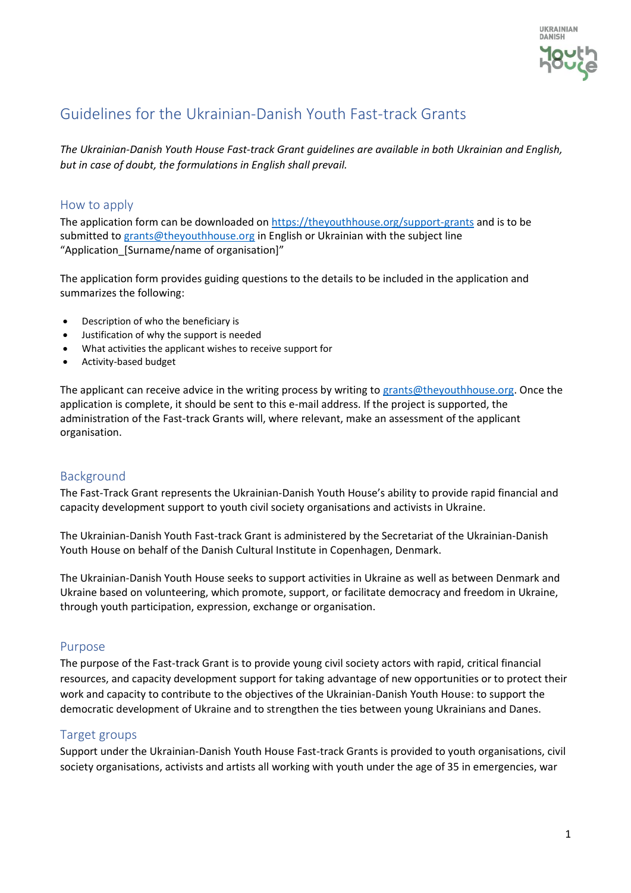

# Guidelines for the Ukrainian-Danish Youth Fast-track Grants

*The Ukrainian-Danish Youth House Fast-track Grant guidelines are available in both Ukrainian and English, but in case of doubt, the formulations in English shall prevail.*

## How to apply

The application form can be downloaded on<https://theyouthhouse.org/support-grants> and is to be submitted to [grants@theyouthhouse.org](mailto:grants@theyouthhouse.org) in English or Ukrainian with the subject line "Application\_[Surname/name of organisation]"

The application form provides guiding questions to the details to be included in the application and summarizes the following:

- Description of who the beneficiary is
- Justification of why the support is needed
- What activities the applicant wishes to receive support for
- Activity-based budget

The applicant can receive advice in the writing process by writing to [grants@theyouthhouse.org.](mailto:grants@theyouthhouse.org) Once the application is complete, it should be sent to this e-mail address. If the project is supported, the administration of the Fast-track Grants will, where relevant, make an assessment of the applicant organisation.

## Background

The Fast-Track Grant represents the Ukrainian-Danish Youth House's ability to provide rapid financial and capacity development support to youth civil society organisations and activists in Ukraine.

The Ukrainian-Danish Youth Fast-track Grant is administered by the Secretariat of the Ukrainian-Danish Youth House on behalf of the Danish Cultural Institute in Copenhagen, Denmark.

The Ukrainian-Danish Youth House seeks to support activities in Ukraine as well as between Denmark and Ukraine based on volunteering, which promote, support, or facilitate democracy and freedom in Ukraine, through youth participation, expression, exchange or organisation.

## Purpose

The purpose of the Fast-track Grant is to provide young civil society actors with rapid, critical financial resources, and capacity development support for taking advantage of new opportunities or to protect their work and capacity to contribute to the objectives of the Ukrainian-Danish Youth House: to support the democratic development of Ukraine and to strengthen the ties between young Ukrainians and Danes.

## Target groups

Support under the Ukrainian-Danish Youth House Fast-track Grants is provided to youth organisations, civil society organisations, activists and artists all working with youth under the age of 35 in emergencies, war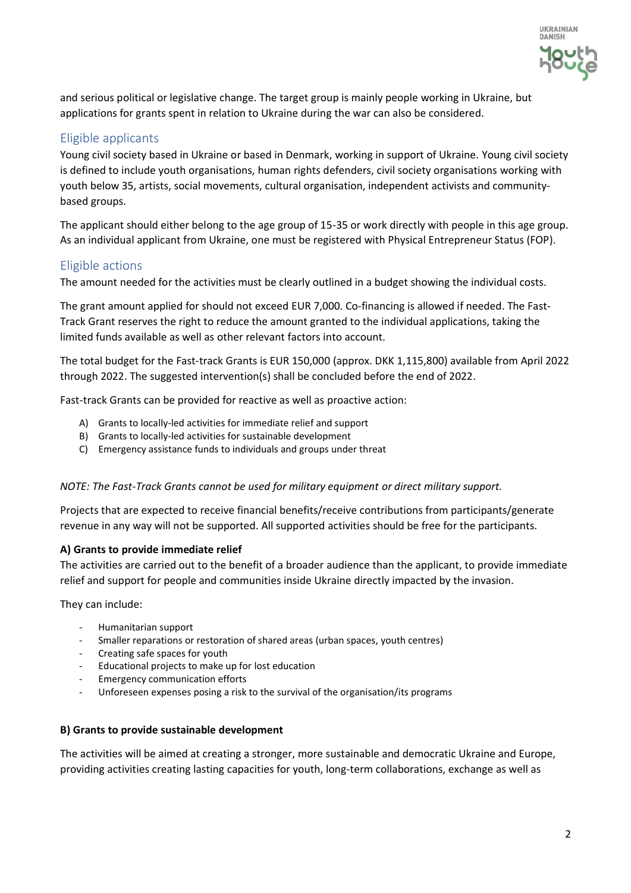

and serious political or legislative change. The target group is mainly people working in Ukraine, but applications for grants spent in relation to Ukraine during the war can also be considered.

# Eligible applicants

Young civil society based in Ukraine or based in Denmark, working in support of Ukraine. Young civil society is defined to include youth organisations, human rights defenders, civil society organisations working with youth below 35, artists, social movements, cultural organisation, independent activists and communitybased groups.

The applicant should either belong to the age group of 15-35 or work directly with people in this age group. As an individual applicant from Ukraine, one must be registered with Physical Entrepreneur Status (FOP).

## Eligible actions

The amount needed for the activities must be clearly outlined in a budget showing the individual costs.

The grant amount applied for should not exceed EUR 7,000. Co-financing is allowed if needed. The Fast-Track Grant reserves the right to reduce the amount granted to the individual applications, taking the limited funds available as well as other relevant factors into account.

The total budget for the Fast-track Grants is EUR 150,000 (approx. DKK 1,115,800) available from April 2022 through 2022. The suggested intervention(s) shall be concluded before the end of 2022.

Fast-track Grants can be provided for reactive as well as proactive action:

- A) Grants to locally-led activities for immediate relief and support
- B) Grants to locally-led activities for sustainable development
- C) Emergency assistance funds to individuals and groups under threat

## *NOTE: The Fast-Track Grants cannot be used for military equipment or direct military support.*

Projects that are expected to receive financial benefits/receive contributions from participants/generate revenue in any way will not be supported. All supported activities should be free for the participants.

## **A) Grants to provide immediate relief**

The activities are carried out to the benefit of a broader audience than the applicant, to provide immediate relief and support for people and communities inside Ukraine directly impacted by the invasion.

They can include:

- Humanitarian support
- Smaller reparations or restoration of shared areas (urban spaces, youth centres)
- Creating safe spaces for youth
- Educational projects to make up for lost education
- Emergency communication efforts
- Unforeseen expenses posing a risk to the survival of the organisation/its programs

## **B) Grants to provide sustainable development**

The activities will be aimed at creating a stronger, more sustainable and democratic Ukraine and Europe, providing activities creating lasting capacities for youth, long-term collaborations, exchange as well as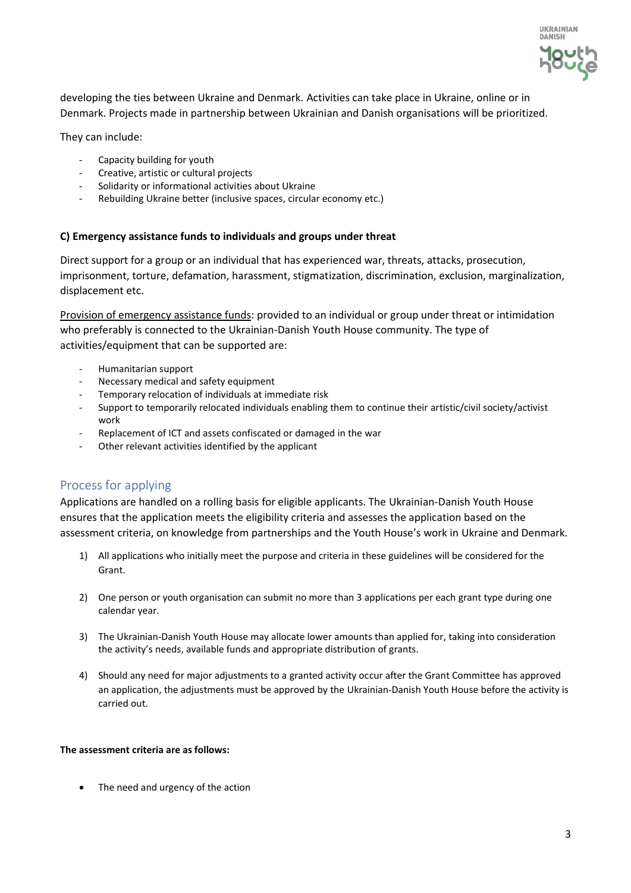

developing the ties between Ukraine and Denmark. Activities can take place in Ukraine, online or in Denmark. Projects made in partnership between Ukrainian and Danish organisations will be prioritized.

They can include:

- Capacity building for youth
- Creative, artistic or cultural projects
- Solidarity or informational activities about Ukraine
- Rebuilding Ukraine better (inclusive spaces, circular economy etc.)

#### **C) Emergency assistance funds to individuals and groups under threat**

Direct support for a group or an individual that has experienced war, threats, attacks, prosecution, imprisonment, torture, defamation, harassment, stigmatization, discrimination, exclusion, marginalization, displacement etc.

Provision of emergency assistance funds: provided to an individual or group under threat or intimidation who preferably is connected to the Ukrainian-Danish Youth House community. The type of activities/equipment that can be supported are:

- Humanitarian support
- Necessary medical and safety equipment
- Temporary relocation of individuals at immediate risk
- Support to temporarily relocated individuals enabling them to continue their artistic/civil society/activist work
- Replacement of ICT and assets confiscated or damaged in the war
- Other relevant activities identified by the applicant

## Process for applying

Applications are handled on a rolling basis for eligible applicants. The Ukrainian-Danish Youth House ensures that the application meets the eligibility criteria and assesses the application based on the assessment criteria, on knowledge from partnerships and the Youth House's work in Ukraine and Denmark.

- 1) All applications who initially meet the purpose and criteria in these guidelines will be considered for the Grant.
- 2) One person or youth organisation can submit no more than 3 applications per each grant type during one calendar year.
- 3) The Ukrainian-Danish Youth House may allocate lower amounts than applied for, taking into consideration the activity's needs, available funds and appropriate distribution of grants.
- 4) Should any need for major adjustments to a granted activity occur after the Grant Committee has approved an application, the adjustments must be approved by the Ukrainian-Danish Youth House before the activity is carried out.

#### **The assessment criteria are as follows:**

• The need and urgency of the action